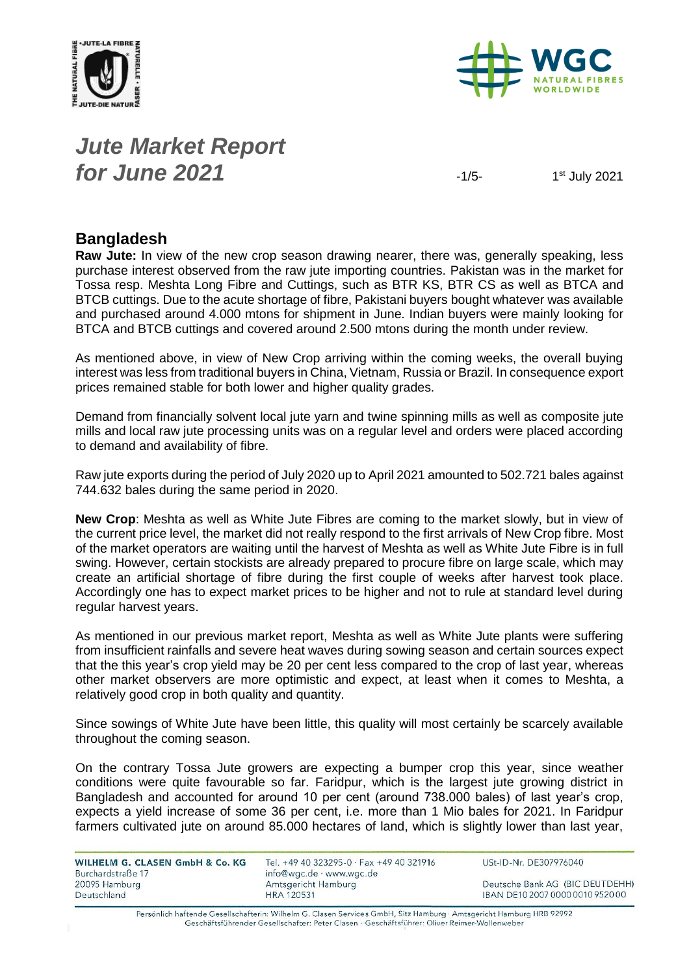



# *Jute Market Report for June* 2021 **1/5-**

1st July 2021

#### **Bangladesh**

**Raw Jute:** In view of the new crop season drawing nearer, there was, generally speaking, less purchase interest observed from the raw jute importing countries. Pakistan was in the market for Tossa resp. Meshta Long Fibre and Cuttings, such as BTR KS, BTR CS as well as BTCA and BTCB cuttings. Due to the acute shortage of fibre, Pakistani buyers bought whatever was available and purchased around 4.000 mtons for shipment in June. Indian buyers were mainly looking for BTCA and BTCB cuttings and covered around 2.500 mtons during the month under review.

As mentioned above, in view of New Crop arriving within the coming weeks, the overall buying interest was less from traditional buyers in China, Vietnam, Russia or Brazil. In consequence export prices remained stable for both lower and higher quality grades.

Demand from financially solvent local jute yarn and twine spinning mills as well as composite jute mills and local raw jute processing units was on a regular level and orders were placed according to demand and availability of fibre.

Raw jute exports during the period of July 2020 up to April 2021 amounted to 502.721 bales against 744.632 bales during the same period in 2020.

**New Crop**: Meshta as well as White Jute Fibres are coming to the market slowly, but in view of the current price level, the market did not really respond to the first arrivals of New Crop fibre. Most of the market operators are waiting until the harvest of Meshta as well as White Jute Fibre is in full swing. However, certain stockists are already prepared to procure fibre on large scale, which may create an artificial shortage of fibre during the first couple of weeks after harvest took place. Accordingly one has to expect market prices to be higher and not to rule at standard level during regular harvest years.

As mentioned in our previous market report, Meshta as well as White Jute plants were suffering from insufficient rainfalls and severe heat waves during sowing season and certain sources expect that the this year's crop yield may be 20 per cent less compared to the crop of last year, whereas other market observers are more optimistic and expect, at least when it comes to Meshta, a relatively good crop in both quality and quantity.

Since sowings of White Jute have been little, this quality will most certainly be scarcely available throughout the coming season.

On the contrary Tossa Jute growers are expecting a bumper crop this year, since weather conditions were quite favourable so far. Faridpur, which is the largest jute growing district in Bangladesh and accounted for around 10 per cent (around 738.000 bales) of last year's crop, expects a yield increase of some 36 per cent, i.e. more than 1 Mio bales for 2021. In Faridpur farmers cultivated jute on around 85.000 hectares of land, which is slightly lower than last year,

| WILHELM G. CLASEN GmbH & Co. KG<br>Burchardstraße 17 | Tel. +49 40 323295-0 · Fax +49 40 321916<br>info@wgc.de · www.wgc.de | USt-ID-Nr. DE307976040           |
|------------------------------------------------------|----------------------------------------------------------------------|----------------------------------|
| 20095 Hamburg                                        | Amtsgericht Hamburg                                                  | Deutsche Bank AG (BIC DEUTDEHH)  |
| Deutschland                                          | <b>HRA 120531</b>                                                    | IBAN DE10 2007 0000 0010 9520 00 |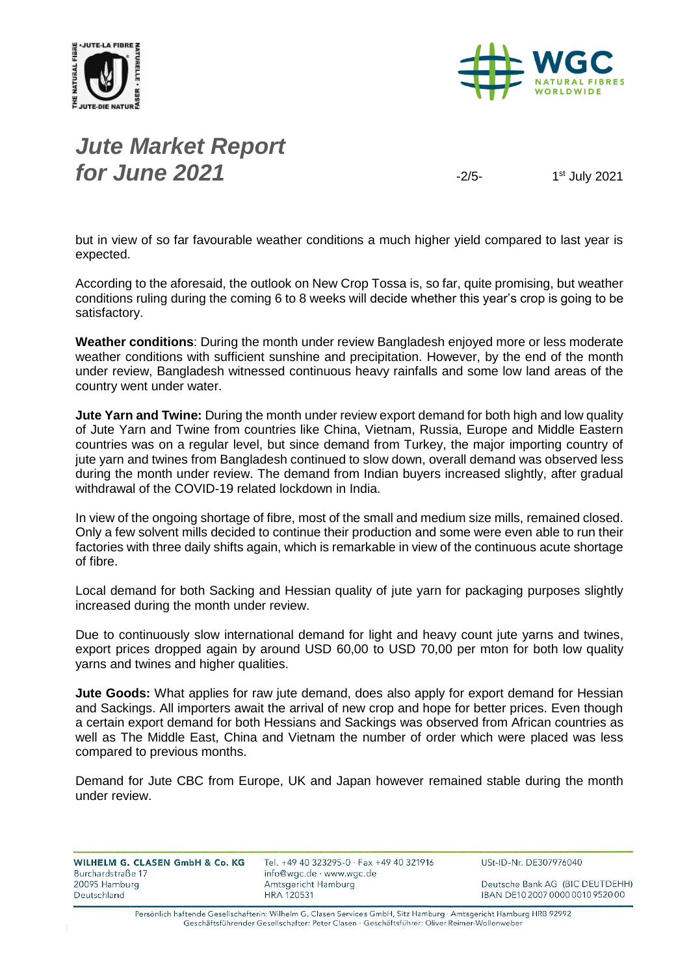



# *Jute Market Report for June* 2021 **1999 12/5-** 12/5-

1st July 2021

but in view of so far favourable weather conditions a much higher yield compared to last year is expected.

According to the aforesaid, the outlook on New Crop Tossa is, so far, quite promising, but weather conditions ruling during the coming 6 to 8 weeks will decide whether this year's crop is going to be satisfactory.

**Weather conditions**: During the month under review Bangladesh enjoyed more or less moderate weather conditions with sufficient sunshine and precipitation. However, by the end of the month under review, Bangladesh witnessed continuous heavy rainfalls and some low land areas of the country went under water.

**Jute Yarn and Twine:** During the month under review export demand for both high and low quality of Jute Yarn and Twine from countries like China, Vietnam, Russia, Europe and Middle Eastern countries was on a regular level, but since demand from Turkey, the major importing country of jute yarn and twines from Bangladesh continued to slow down, overall demand was observed less during the month under review. The demand from Indian buyers increased slightly, after gradual withdrawal of the COVID-19 related lockdown in India.

In view of the ongoing shortage of fibre, most of the small and medium size mills, remained closed. Only a few solvent mills decided to continue their production and some were even able to run their factories with three daily shifts again, which is remarkable in view of the continuous acute shortage of fibre.

Local demand for both Sacking and Hessian quality of jute yarn for packaging purposes slightly increased during the month under review.

Due to continuously slow international demand for light and heavy count jute yarns and twines, export prices dropped again by around USD 60,00 to USD 70,00 per mton for both low quality yarns and twines and higher qualities.

**Jute Goods:** What applies for raw jute demand, does also apply for export demand for Hessian and Sackings. All importers await the arrival of new crop and hope for better prices. Even though a certain export demand for both Hessians and Sackings was observed from African countries as well as The Middle East, China and Vietnam the number of order which were placed was less compared to previous months.

Demand for Jute CBC from Europe, UK and Japan however remained stable during the month under review.

| WILHELM G. CLASEN GmbH & Co. KG |  |  |
|---------------------------------|--|--|
| Burchardstraße 17               |  |  |
| 20095 Hamburg                   |  |  |
| Deutschland                     |  |  |

Tel. +49 40 323295-0 · Fax +49 40 321916 info@wgc.de · www.wgc.de Amtsgericht Hamburg **HRA 120531** 

USt-ID-Nr. DE307976040

Deutsche Bank AG (BIC DEUTDEHH) IBAN DE10 2007 0000 0010 9520 00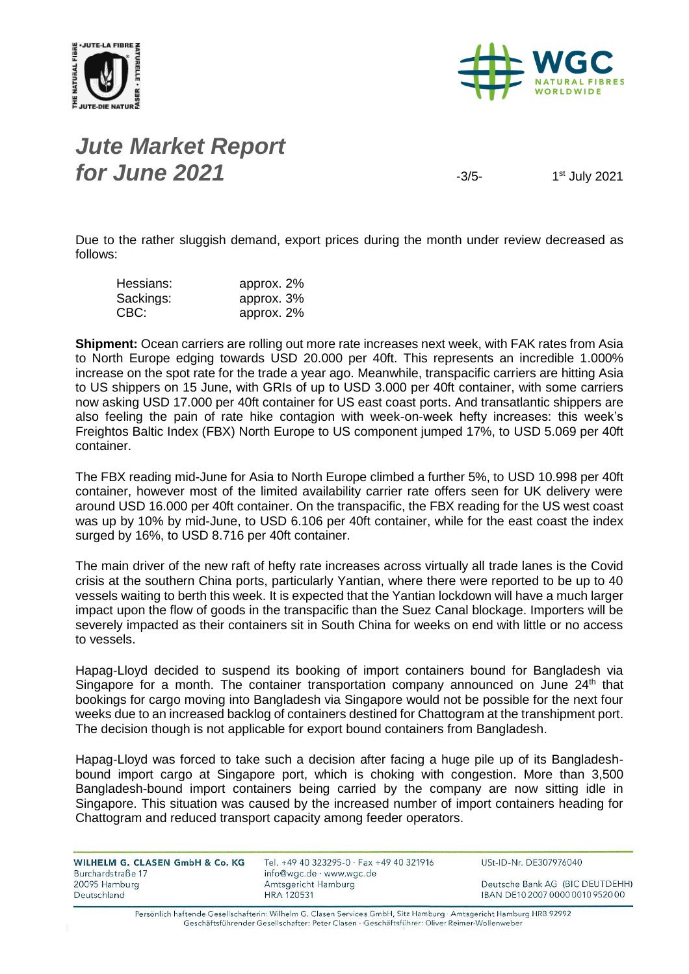



#### *Jute Market Report for June* 2021 **1999 12:5-12:5-2021 12:5-2021 13:5-**

1st July 2021

Due to the rather sluggish demand, export prices during the month under review decreased as follows:

| Hessians: | approx. 2% |
|-----------|------------|
| Sackings: | approx. 3% |
| CBC:      | approx. 2% |

**Shipment:** Ocean carriers are rolling out more rate increases next week, with FAK rates from Asia to North Europe edging towards USD 20.000 per 40ft. This represents an incredible 1.000% increase on the spot rate for the trade a year ago. Meanwhile, transpacific carriers are hitting Asia to US shippers on 15 June, with GRIs of up to USD 3.000 per 40ft container, with some carriers now asking USD 17.000 per 40ft container for US east coast ports. And transatlantic shippers are also feeling the pain of rate hike contagion with week-on-week hefty increases: this week's Freightos Baltic Index (FBX) North Europe to US component jumped 17%, to USD 5.069 per 40ft container.

The FBX reading mid-June for Asia to North Europe climbed a further 5%, to USD 10.998 per 40ft container, however most of the limited availability carrier rate offers seen for UK delivery were around USD 16.000 per 40ft container. On the transpacific, the FBX reading for the US west coast was up by 10% by mid-June, to USD 6.106 per 40ft container, while for the east coast the index surged by 16%, to USD 8.716 per 40ft container.

The main driver of the new raft of hefty rate increases across virtually all trade lanes is the Covid crisis at the southern China ports, particularly Yantian, where there were reported to be up to 40 vessels waiting to berth this week. It is expected that the Yantian lockdown will have a much larger impact upon the flow of goods in the transpacific than the Suez Canal blockage. Importers will be severely impacted as their containers sit in South China for weeks on end with little or no access to vessels.

Hapag-Lloyd decided to suspend its booking of import containers bound for Bangladesh via Singapore for a month. The container transportation company announced on June  $24<sup>th</sup>$  that bookings for cargo moving into Bangladesh via Singapore would not be possible for the next four weeks due to an increased backlog of containers destined for Chattogram at the transhipment port. The decision though is not applicable for export bound containers from Bangladesh.

Hapag-Lloyd was forced to take such a decision after facing a huge pile up of its Bangladeshbound import cargo at Singapore port, which is choking with congestion. More than 3,500 Bangladesh-bound import containers being carried by the company are now sitting idle in Singapore. This situation was caused by the increased number of import containers heading for Chattogram and reduced transport capacity among feeder operators.

| WILHELM G. CLASEN GmbH & Co. KG<br>Burchardstraße 17 | Tel. +49 40 323295-0 · Fax +49 40 321916<br>info@wgc.de · www.wgc.de | USt-ID-Nr. DE307976040           |
|------------------------------------------------------|----------------------------------------------------------------------|----------------------------------|
| 20095 Hamburg                                        | Amtsgericht Hamburg                                                  | Deutsche Bank AG (BIC DEUTDEHH)  |
| Deutschland                                          | <b>HRA 120531</b>                                                    | IBAN DE10 2007 0000 0010 9520 00 |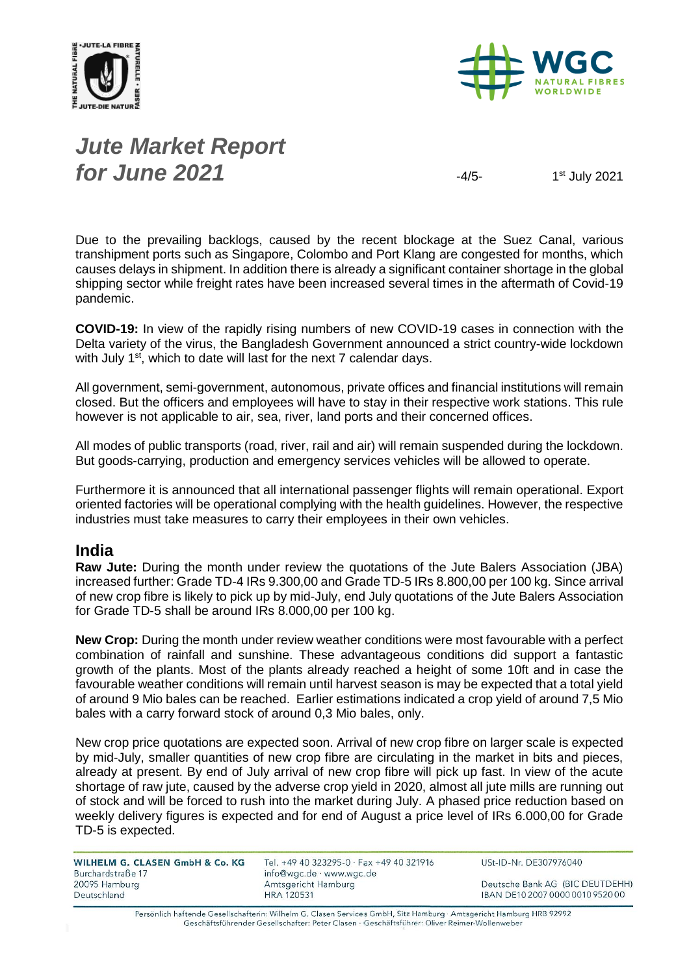



# *Jute Market Report for June* 2021 **1999**

1st July 2021

Due to the prevailing backlogs, caused by the recent blockage at the Suez Canal, various transhipment ports such as Singapore, Colombo and Port Klang are congested for months, which causes delays in shipment. In addition there is already a significant container shortage in the global shipping sector while freight rates have been increased several times in the aftermath of Covid-19 pandemic.

**COVID-19:** In view of the rapidly rising numbers of new COVID-19 cases in connection with the Delta variety of the virus, the Bangladesh Government announced a strict country-wide lockdown with July  $1<sup>st</sup>$ , which to date will last for the next 7 calendar days.

All government, semi-government, autonomous, private offices and financial institutions will remain closed. But the officers and employees will have to stay in their respective work stations. This rule however is not applicable to air, sea, river, land ports and their concerned offices.

All modes of public transports (road, river, rail and air) will remain suspended during the lockdown. But goods-carrying, production and emergency services vehicles will be allowed to operate.

Furthermore it is announced that all international passenger flights will remain operational. Export oriented factories will be operational complying with the health guidelines. However, the respective industries must take measures to carry their employees in their own vehicles.

#### **India**

**Raw Jute:** During the month under review the quotations of the Jute Balers Association (JBA) increased further: Grade TD-4 IRs 9.300,00 and Grade TD-5 IRs 8.800,00 per 100 kg. Since arrival of new crop fibre is likely to pick up by mid-July, end July quotations of the Jute Balers Association for Grade TD-5 shall be around IRs 8.000,00 per 100 kg.

**New Crop:** During the month under review weather conditions were most favourable with a perfect combination of rainfall and sunshine. These advantageous conditions did support a fantastic growth of the plants. Most of the plants already reached a height of some 10ft and in case the favourable weather conditions will remain until harvest season is may be expected that a total yield of around 9 Mio bales can be reached. Earlier estimations indicated a crop yield of around 7,5 Mio bales with a carry forward stock of around 0,3 Mio bales, only.

New crop price quotations are expected soon. Arrival of new crop fibre on larger scale is expected by mid-July, smaller quantities of new crop fibre are circulating in the market in bits and pieces, already at present. By end of July arrival of new crop fibre will pick up fast. In view of the acute shortage of raw jute, caused by the adverse crop yield in 2020, almost all jute mills are running out of stock and will be forced to rush into the market during July. A phased price reduction based on weekly delivery figures is expected and for end of August a price level of IRs 6.000,00 for Grade TD-5 is expected.

WILHELM G. CLASEN GmbH & Co. KG Burchardstraße 17 20095 Hamburg Deutschland

Tel. +49 40 323295-0 · Fax +49 40 321916 info@wgc.de · www.wgc.de Amtsgericht Hamburg **HRA 120531** 

USt-ID-Nr. DE307976040

Deutsche Bank AG (BIC DEUTDEHH) IBAN DE10 2007 0000 0010 9520 00